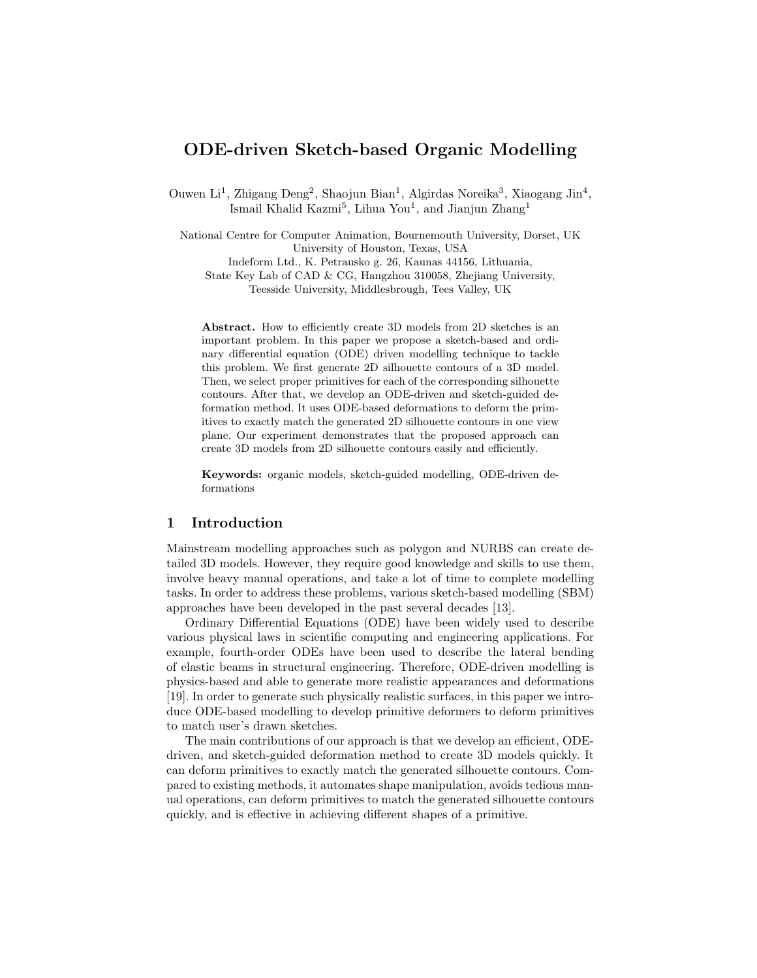# ODE-driven Sketch-based Organic Modelling

Ouwen Li<sup>1</sup>, Zhigang Deng<sup>2</sup>, Shaojun Bian<sup>1</sup>, Algirdas Noreika<sup>3</sup>, Xiaogang Jin<sup>4</sup>, Ismail Khalid Kazmi<sup>5</sup>, Lihua You<sup>1</sup>, and Jianjun Zhang<sup>1</sup>

National Centre for Computer Animation, Bournemouth University, Dorset, UK University of Houston, Texas, USA Indeform Ltd., K. Petrausko g. 26, Kaunas 44156, Lithuania, State Key Lab of CAD & CG, Hangzhou 310058, Zhejiang University, Teesside University, Middlesbrough, Tees Valley, UK

Abstract. How to efficiently create 3D models from 2D sketches is an important problem. In this paper we propose a sketch-based and ordinary differential equation (ODE) driven modelling technique to tackle this problem. We first generate 2D silhouette contours of a 3D model. Then, we select proper primitives for each of the corresponding silhouette contours. After that, we develop an ODE-driven and sketch-guided deformation method. It uses ODE-based deformations to deform the primitives to exactly match the generated 2D silhouette contours in one view plane. Our experiment demonstrates that the proposed approach can create 3D models from 2D silhouette contours easily and efficiently.

Keywords: organic models, sketch-guided modelling, ODE-driven deformations

### 1 Introduction

Mainstream modelling approaches such as polygon and NURBS can create detailed 3D models. However, they require good knowledge and skills to use them, involve heavy manual operations, and take a lot of time to complete modelling tasks. In order to address these problems, various sketch-based modelling (SBM) approaches have been developed in the past several decades [13].

Ordinary Differential Equations (ODE) have been widely used to describe various physical laws in scientific computing and engineering applications. For example, fourth-order ODEs have been used to describe the lateral bending of elastic beams in structural engineering. Therefore, ODE-driven modelling is physics-based and able to generate more realistic appearances and deformations [19]. In order to generate such physically realistic surfaces, in this paper we introduce ODE-based modelling to develop primitive deformers to deform primitives to match user's drawn sketches.

The main contributions of our approach is that we develop an efficient, ODEdriven, and sketch-guided deformation method to create 3D models quickly. It can deform primitives to exactly match the generated silhouette contours. Compared to existing methods, it automates shape manipulation, avoids tedious manual operations, can deform primitives to match the generated silhouette contours quickly, and is effective in achieving different shapes of a primitive.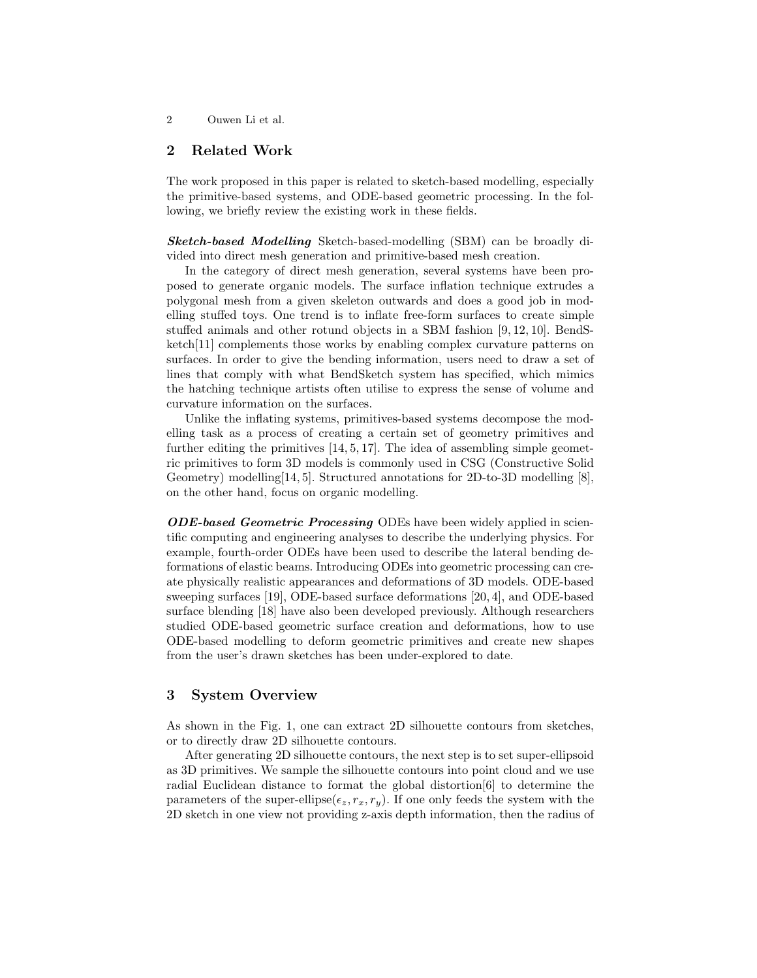## 2 Related Work

The work proposed in this paper is related to sketch-based modelling, especially the primitive-based systems, and ODE-based geometric processing. In the following, we briefly review the existing work in these fields.

Sketch-based Modelling Sketch-based-modelling (SBM) can be broadly divided into direct mesh generation and primitive-based mesh creation.

In the category of direct mesh generation, several systems have been proposed to generate organic models. The surface inflation technique extrudes a polygonal mesh from a given skeleton outwards and does a good job in modelling stuffed toys. One trend is to inflate free-form surfaces to create simple stuffed animals and other rotund objects in a SBM fashion [9, 12, 10]. BendSketch[11] complements those works by enabling complex curvature patterns on surfaces. In order to give the bending information, users need to draw a set of lines that comply with what BendSketch system has specified, which mimics the hatching technique artists often utilise to express the sense of volume and curvature information on the surfaces.

Unlike the inflating systems, primitives-based systems decompose the modelling task as a process of creating a certain set of geometry primitives and further editing the primitives [14, 5, 17]. The idea of assembling simple geometric primitives to form 3D models is commonly used in CSG (Constructive Solid Geometry) modelling[14, 5]. Structured annotations for 2D-to-3D modelling [8], on the other hand, focus on organic modelling.

ODE-based Geometric Processing ODEs have been widely applied in scientific computing and engineering analyses to describe the underlying physics. For example, fourth-order ODEs have been used to describe the lateral bending deformations of elastic beams. Introducing ODEs into geometric processing can create physically realistic appearances and deformations of 3D models. ODE-based sweeping surfaces [19], ODE-based surface deformations [20, 4], and ODE-based surface blending [18] have also been developed previously. Although researchers studied ODE-based geometric surface creation and deformations, how to use ODE-based modelling to deform geometric primitives and create new shapes from the user's drawn sketches has been under-explored to date.

### 3 System Overview

As shown in the Fig. 1, one can extract 2D silhouette contours from sketches, or to directly draw 2D silhouette contours.

After generating 2D silhouette contours, the next step is to set super-ellipsoid as 3D primitives. We sample the silhouette contours into point cloud and we use radial Euclidean distance to format the global distortion[6] to determine the parameters of the super-ellipse( $\epsilon_z$ ,  $r_x$ ,  $r_y$ ). If one only feeds the system with the 2D sketch in one view not providing z-axis depth information, then the radius of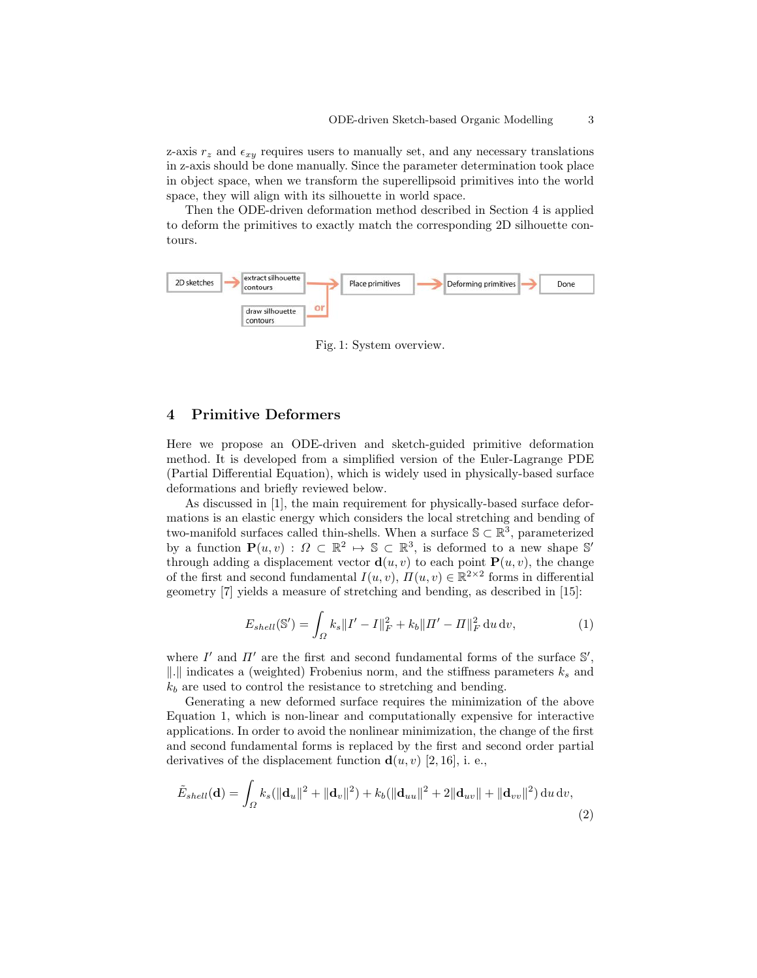z-axis  $r_z$  and  $\epsilon_{xy}$  requires users to manually set, and any necessary translations in z-axis should be done manually. Since the parameter determination took place in object space, when we transform the superellipsoid primitives into the world space, they will align with its silhouette in world space.

Then the ODE-driven deformation method described in Section 4 is applied to deform the primitives to exactly match the corresponding 2D silhouette contours.



Fig. 1: System overview.

## 4 Primitive Deformers

Here we propose an ODE-driven and sketch-guided primitive deformation method. It is developed from a simplified version of the Euler-Lagrange PDE (Partial Differential Equation), which is widely used in physically-based surface deformations and briefly reviewed below.

As discussed in [1], the main requirement for physically-based surface deformations is an elastic energy which considers the local stretching and bending of two-manifold surfaces called thin-shells. When a surface  $\mathcal{S} \subset \mathbb{R}^3$ , parameterized by a function  $\mathbf{P}(u, v) : \Omega \subset \mathbb{R}^2 \to \mathbb{S} \subset \mathbb{R}^3$ , is deformed to a new shape  $\mathbb{S}'$ through adding a displacement vector  $\mathbf{d}(u, v)$  to each point  $\mathbf{P}(u, v)$ , the change of the first and second fundamental  $I(u, v)$ ,  $\overline{H}(u, v) \in \mathbb{R}^{2 \times 2}$  forms in differential geometry [7] yields a measure of stretching and bending, as described in [15]:

$$
E_{shell}(\mathbb{S}') = \int_{\Omega} k_s \|I' - I\|_F^2 + k_b \|I' - I\|_F^2 \, \mathrm{d}u \, \mathrm{d}v,\tag{1}
$$

where  $I'$  and  $II'$  are the first and second fundamental forms of the surface  $\mathbb{S}',$ ||.|| indicates a (weighted) Frobenius norm, and the stiffness parameters  $k_s$  and  $k_b$  are used to control the resistance to stretching and bending.

Generating a new deformed surface requires the minimization of the above Equation 1, which is non-linear and computationally expensive for interactive applications. In order to avoid the nonlinear minimization, the change of the first and second fundamental forms is replaced by the first and second order partial derivatives of the displacement function  $\mathbf{d}(u, v)$  [2, 16], i. e.,

$$
\tilde{E}_{shell}(\mathbf{d}) = \int_{\Omega} k_s(||\mathbf{d}_u||^2 + ||\mathbf{d}_v||^2) + k_b(||\mathbf{d}_{uu}||^2 + 2||\mathbf{d}_{uv}|| + ||\mathbf{d}_{vv}||^2) \, \mathrm{d}u \, \mathrm{d}v,\tag{2}
$$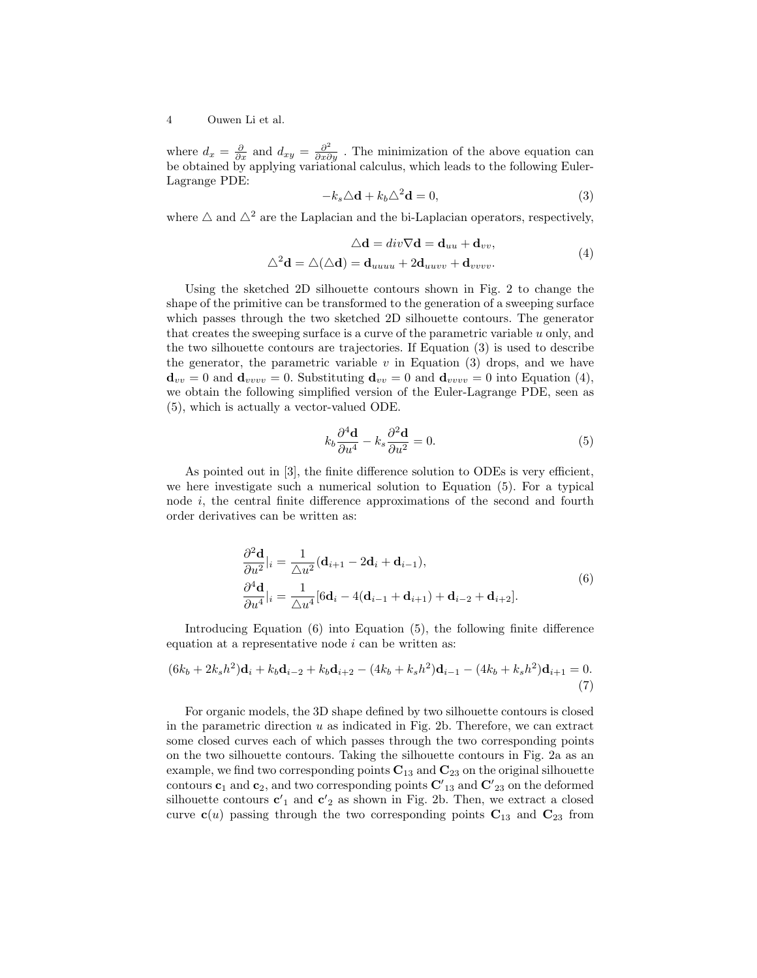#### 4 Ouwen Li et al.

where  $d_x = \frac{\partial}{\partial x}$  and  $d_{xy} = \frac{\partial^2}{\partial x \partial y}$ . The minimization of the above equation can be obtained by applying variational calculus, which leads to the following Euler-Lagrange PDE:

$$
-k_s \Delta \mathbf{d} + k_b \Delta^2 \mathbf{d} = 0,\tag{3}
$$

where  $\triangle$  and  $\triangle^2$  are the Laplacian and the bi-Laplacian operators, respectively,

$$
\Delta \mathbf{d} = div \nabla \mathbf{d} = \mathbf{d}_{uu} + \mathbf{d}_{vv},
$$
  

$$
\Delta^2 \mathbf{d} = \Delta(\Delta \mathbf{d}) = \mathbf{d}_{uuuu} + 2\mathbf{d}_{uuvv} + \mathbf{d}_{vvvv}.
$$
 (4)

Using the sketched 2D silhouette contours shown in Fig. 2 to change the shape of the primitive can be transformed to the generation of a sweeping surface which passes through the two sketched 2D silhouette contours. The generator that creates the sweeping surface is a curve of the parametric variable  $u$  only, and the two silhouette contours are trajectories. If Equation (3) is used to describe the generator, the parametric variable  $v$  in Equation (3) drops, and we have  $\mathbf{d}_{vv} = 0$  and  $\mathbf{d}_{vvvv} = 0$ . Substituting  $\mathbf{d}_{vv} = 0$  and  $\mathbf{d}_{vvvv} = 0$  into Equation (4), we obtain the following simplified version of the Euler-Lagrange PDE, seen as (5), which is actually a vector-valued ODE.

$$
k_b \frac{\partial^4 \mathbf{d}}{\partial u^4} - k_s \frac{\partial^2 \mathbf{d}}{\partial u^2} = 0.
$$
 (5)

As pointed out in [3], the finite difference solution to ODEs is very efficient, we here investigate such a numerical solution to Equation (5). For a typical node i, the central finite difference approximations of the second and fourth order derivatives can be written as:

$$
\frac{\partial^2 \mathbf{d}}{\partial u^2}|_i = \frac{1}{\Delta u^2} (\mathbf{d}_{i+1} - 2\mathbf{d}_i + \mathbf{d}_{i-1}),
$$
  
\n
$$
\frac{\partial^4 \mathbf{d}}{\partial u^4}|_i = \frac{1}{\Delta u^4} [6\mathbf{d}_i - 4(\mathbf{d}_{i-1} + \mathbf{d}_{i+1}) + \mathbf{d}_{i-2} + \mathbf{d}_{i+2}].
$$
\n(6)

Introducing Equation (6) into Equation (5), the following finite difference equation at a representative node  $i$  can be written as:

$$
(6k_b + 2k_s h^2)\mathbf{d}_i + k_b \mathbf{d}_{i-2} + k_b \mathbf{d}_{i+2} - (4k_b + k_s h^2)\mathbf{d}_{i-1} - (4k_b + k_s h^2)\mathbf{d}_{i+1} = 0.
$$
\n(7)

For organic models, the 3D shape defined by two silhouette contours is closed in the parametric direction  $u$  as indicated in Fig. 2b. Therefore, we can extract some closed curves each of which passes through the two corresponding points on the two silhouette contours. Taking the silhouette contours in Fig. 2a as an example, we find two corresponding points  $C_{13}$  and  $C_{23}$  on the original silhouette contours  $\mathbf{c}_1$  and  $\mathbf{c}_2$ , and two corresponding points  $\mathbf{C'}_{13}$  and  $\mathbf{C'}_{23}$  on the deformed silhouette contours  $c'_{1}$  and  $c'_{2}$  as shown in Fig. 2b. Then, we extract a closed curve  $c(u)$  passing through the two corresponding points  $C_{13}$  and  $C_{23}$  from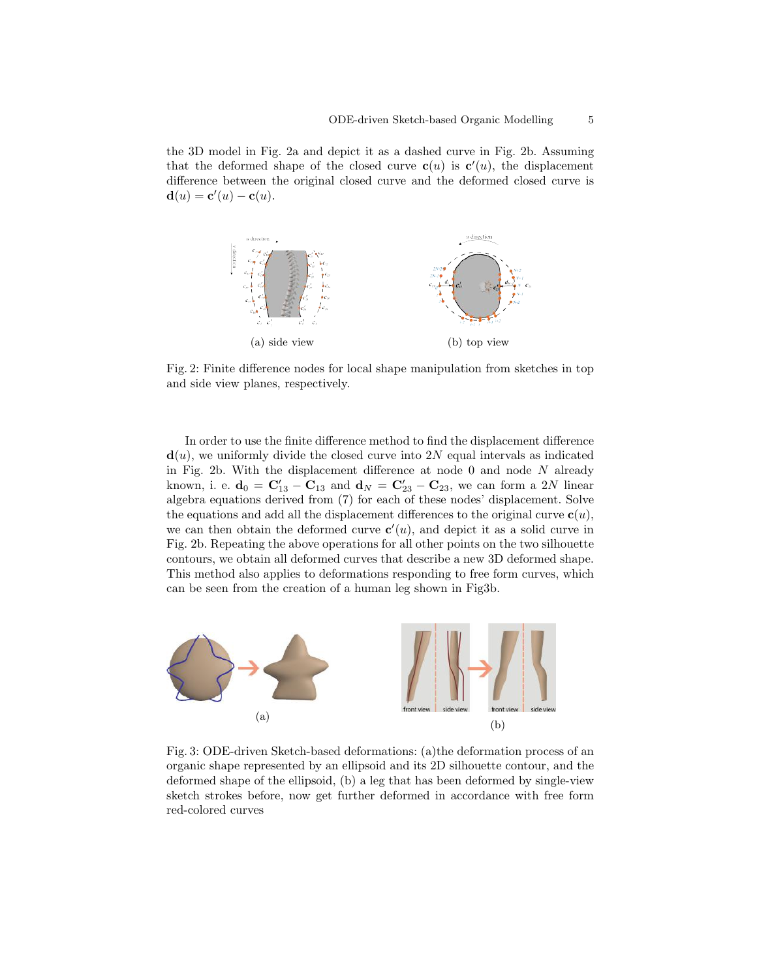the 3D model in Fig. 2a and depict it as a dashed curve in Fig. 2b. Assuming that the deformed shape of the closed curve  $c(u)$  is  $c'(u)$ , the displacement difference between the original closed curve and the deformed closed curve is  $\mathbf{d}(u) = \mathbf{c}'(u) - \mathbf{c}(u).$ 



Fig. 2: Finite difference nodes for local shape manipulation from sketches in top and side view planes, respectively.

In order to use the finite difference method to find the displacement difference  $\mathbf{d}(u)$ , we uniformly divide the closed curve into 2N equal intervals as indicated in Fig. 2b. With the displacement difference at node  $0$  and node  $N$  already known, i. e.  $\mathbf{d}_0 = \mathbf{C}_{13}' - \mathbf{C}_{13}$  and  $\mathbf{d}_N = \mathbf{C}_{23}' - \mathbf{C}_{23}$ , we can form a 2N linear algebra equations derived from (7) for each of these nodes' displacement. Solve the equations and add all the displacement differences to the original curve  $c(u)$ , we can then obtain the deformed curve  $c'(u)$ , and depict it as a solid curve in Fig. 2b. Repeating the above operations for all other points on the two silhouette contours, we obtain all deformed curves that describe a new 3D deformed shape. This method also applies to deformations responding to free form curves, which can be seen from the creation of a human leg shown in Fig3b.



Fig. 3: ODE-driven Sketch-based deformations: (a)the deformation process of an organic shape represented by an ellipsoid and its 2D silhouette contour, and the deformed shape of the ellipsoid, (b) a leg that has been deformed by single-view sketch strokes before, now get further deformed in accordance with free form red-colored curves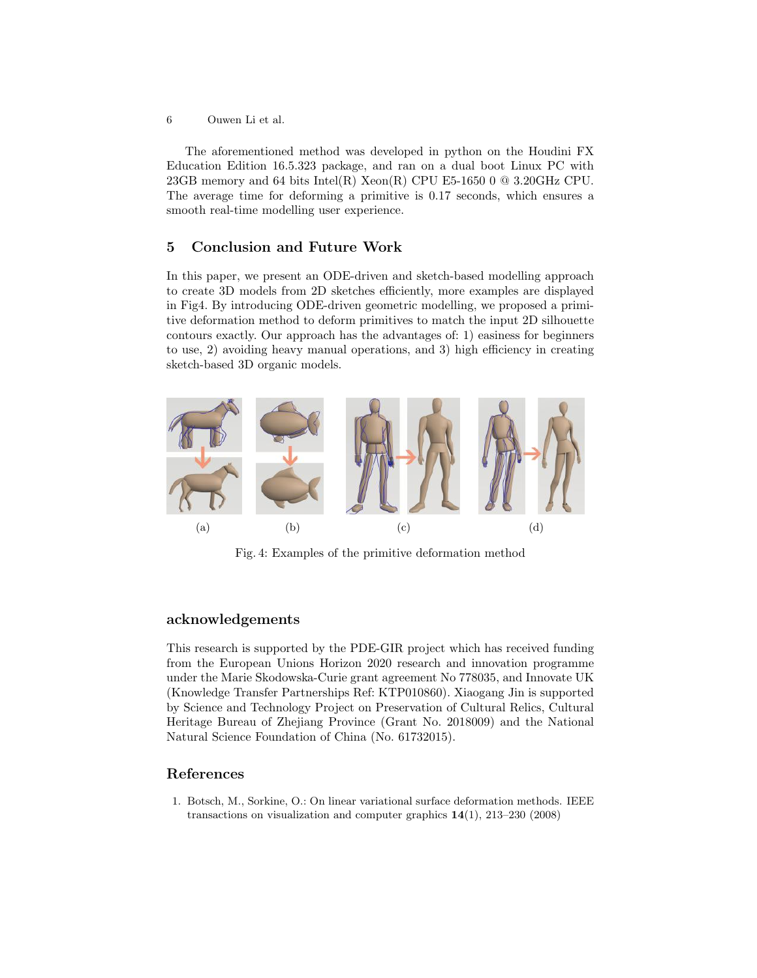6 Ouwen Li et al.

The aforementioned method was developed in python on the Houdini FX Education Edition 16.5.323 package, and ran on a dual boot Linux PC with 23GB memory and 64 bits Intel(R) Xeon(R) CPU E5-1650 0  $@$  3.20GHz CPU. The average time for deforming a primitive is 0.17 seconds, which ensures a smooth real-time modelling user experience.

## 5 Conclusion and Future Work

In this paper, we present an ODE-driven and sketch-based modelling approach to create 3D models from 2D sketches efficiently, more examples are displayed in Fig4. By introducing ODE-driven geometric modelling, we proposed a primitive deformation method to deform primitives to match the input 2D silhouette contours exactly. Our approach has the advantages of: 1) easiness for beginners to use, 2) avoiding heavy manual operations, and 3) high efficiency in creating sketch-based 3D organic models.



Fig. 4: Examples of the primitive deformation method

#### acknowledgements

This research is supported by the PDE-GIR project which has received funding from the European Unions Horizon 2020 research and innovation programme under the Marie Skodowska-Curie grant agreement No 778035, and Innovate UK (Knowledge Transfer Partnerships Ref: KTP010860). Xiaogang Jin is supported by Science and Technology Project on Preservation of Cultural Relics, Cultural Heritage Bureau of Zhejiang Province (Grant No. 2018009) and the National Natural Science Foundation of China (No. 61732015).

## References

1. Botsch, M., Sorkine, O.: On linear variational surface deformation methods. IEEE transactions on visualization and computer graphics 14(1), 213–230 (2008)